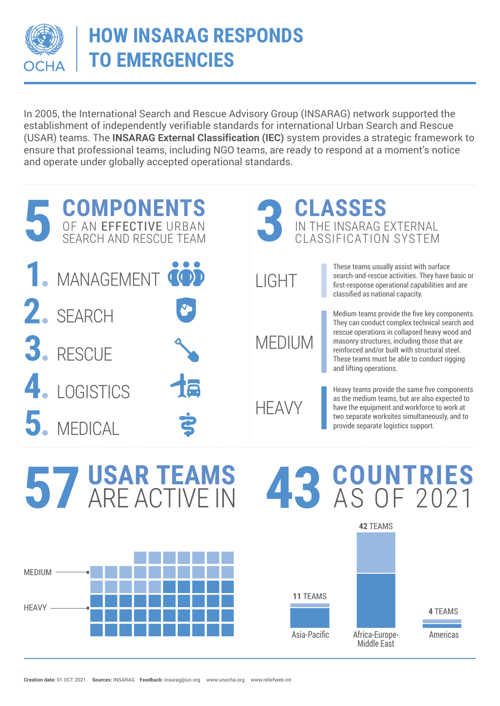

## **HOW INSARAG RESPONDS TO EMERGENCIES**

In 2005, the International Search and Rescue Advisory Group (INSARAG) network supported the establishment of independently verifiable standards for international Urban Search and Rescue (USAR) teams. The **INSARAG External Classification (IEC)** system provides a strategic framework to ensure that professional teams, including NGO teams, are ready to respond at a moment's notice and operate under globally accepted operational standards.



Africa-Europe- Americas

**4** TEAMS

Middle East

Asia-Pacific

**11** TEAMS



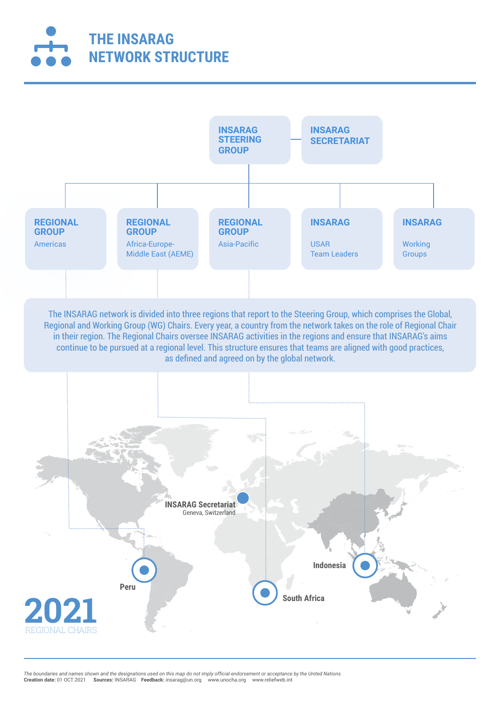



The INSARAG network is divided into three regions that report to the Steering Group, which comprises the Global, Regional and Working Group (WG) Chairs. Every year, a country from the network takes on the role of Regional Chair in their region. The Regional Chairs oversee INSARAG activities in the regions and ensure that INSARAG's aims continue to be pursued at a regional level. This structure ensures that teams are aligned with good practices, as defined and agreed on by the global network.



The boundaries and names shown and the designations used on this map do not imply official endorsement or acceptance by the United Nations.<br>**Creation date:** 01 OCT 2021 **Sources:** INSARAG **Feedback:** insarag@un.org